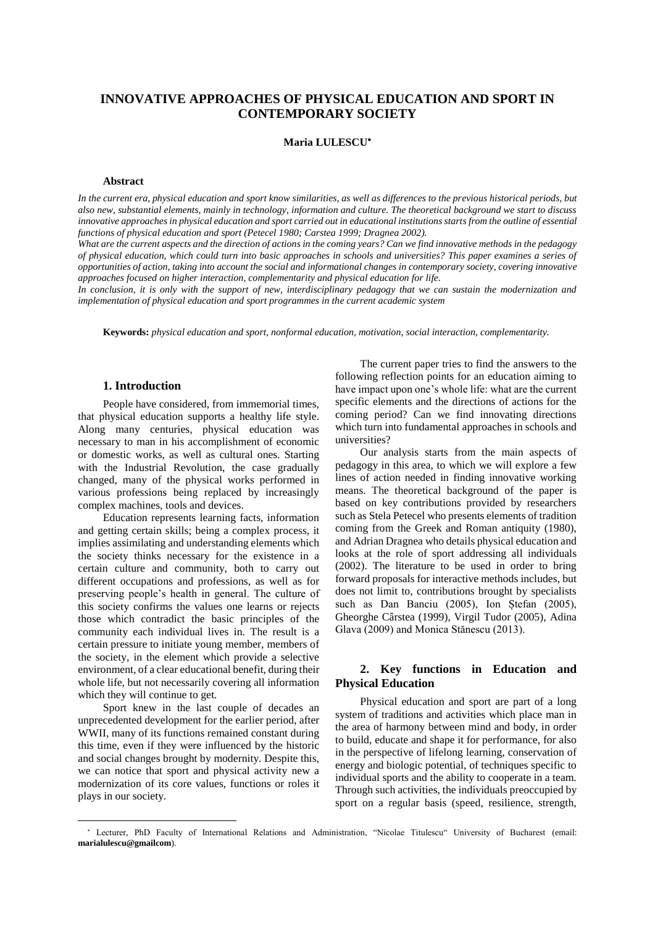# **INNOVATIVE APPROACHES OF PHYSICAL EDUCATION AND SPORT IN CONTEMPORARY SOCIETY**

### **Maria LULESCU**

#### **Abstract**

*In the current era, physical education and sport know similarities, as well as differences to the previous historical periods, but also new, substantial elements, mainly in technology, information and culture. The theoretical background we start to discuss innovative approaches in physical education and sport carried out in educational institutions starts from the outline of essential functions of physical education and sport (Petecel 1980; Carstea 1999; Dragnea 2002).* 

*What are the current aspects and the direction of actions in the coming years? Can we find innovative methods in the pedagogy of physical education, which could turn into basic approaches in schools and universities? This paper examines a series of opportunities of action, taking into account the social and informational changes in contemporary society, covering innovative approaches focused on higher interaction, complementarity and physical education for life.* 

*In conclusion, it is only with the support of new, interdisciplinary pedagogy that we can sustain the modernization and implementation of physical education and sport programmes in the current academic system* 

**Keywords:** *physical education and sport, nonformal education, motivation, social interaction, complementarity.* 

### **1. Introduction**

People have considered, from immemorial times, that physical education supports a healthy life style. Along many centuries, physical education was necessary to man in his accomplishment of economic or domestic works, as well as cultural ones. Starting with the Industrial Revolution, the case gradually changed, many of the physical works performed in various professions being replaced by increasingly complex machines, tools and devices.

Education represents learning facts, information and getting certain skills; being a complex process, it implies assimilating and understanding elements which the society thinks necessary for the existence in a certain culture and community, both to carry out different occupations and professions, as well as for preserving people's health in general. The culture of this society confirms the values one learns or rejects those which contradict the basic principles of the community each individual lives in. The result is a certain pressure to initiate young member, members of the society, in the element which provide a selective environment, of a clear educational benefit, during their whole life, but not necessarily covering all information which they will continue to get.

Sport knew in the last couple of decades an unprecedented development for the earlier period, after WWII, many of its functions remained constant during this time, even if they were influenced by the historic and social changes brought by modernity. Despite this, we can notice that sport and physical activity new a modernization of its core values, functions or roles it plays in our society.

The current paper tries to find the answers to the following reflection points for an education aiming to have impact upon one's whole life: what are the current specific elements and the directions of actions for the coming period? Can we find innovating directions which turn into fundamental approaches in schools and universities?

Our analysis starts from the main aspects of pedagogy in this area, to which we will explore a few lines of action needed in finding innovative working means. The theoretical background of the paper is based on key contributions provided by researchers such as Stela Petecel who presents elements of tradition coming from the Greek and Roman antiquity (1980), and Adrian Dragnea who details physical education and looks at the role of sport addressing all individuals (2002). The literature to be used in order to bring forward proposals for interactive methods includes, but does not limit to, contributions brought by specialists such as Dan Banciu (2005), Ion Ștefan (2005), Gheorghe Cârstea (1999), Virgil Tudor (2005), Adina Glava (2009) and Monica Stănescu (2013).

## **2. Key functions in Education and Physical Education**

Physical education and sport are part of a long system of traditions and activities which place man in the area of harmony between mind and body, in order to build, educate and shape it for performance, for also in the perspective of lifelong learning, conservation of energy and biologic potential, of techniques specific to individual sports and the ability to cooperate in a team. Through such activities, the individuals preoccupied by sport on a regular basis (speed, resilience, strength,

Lecturer, PhD Faculty of International Relations and Administration, "Nicolae Titulescu" University of Bucharest (email: **marialulescu@gmailcom**).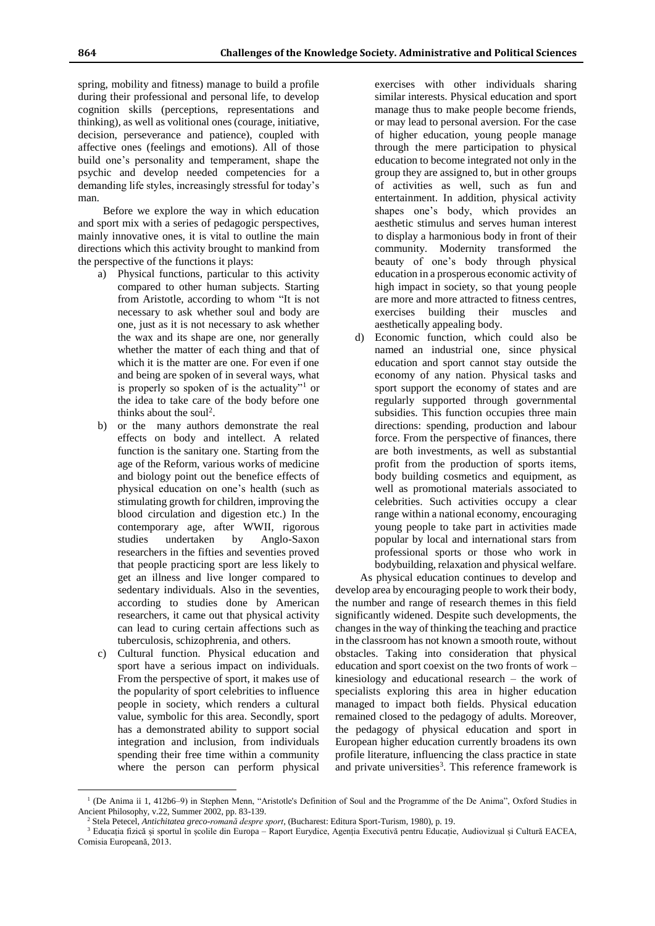spring, mobility and fitness) manage to build a profile during their professional and personal life, to develop cognition skills (perceptions, representations and thinking), as well as volitional ones (courage, initiative, decision, perseverance and patience), coupled with affective ones (feelings and emotions). All of those build one's personality and temperament, shape the psychic and develop needed competencies for a demanding life styles, increasingly stressful for today's man.

Before we explore the way in which education and sport mix with a series of pedagogic perspectives, mainly innovative ones, it is vital to outline the main directions which this activity brought to mankind from the perspective of the functions it plays:

- a) Physical functions, particular to this activity compared to other human subjects. Starting from Aristotle, according to whom "It is not necessary to ask whether soul and body are one, just as it is not necessary to ask whether the wax and its shape are one, nor generally whether the matter of each thing and that of which it is the matter are one. For even if one and being are spoken of in several ways, what is properly so spoken of is the actuality"<sup>1</sup> or the idea to take care of the body before one thinks about the soul<sup>2</sup>.
- b) or the many authors demonstrate the real effects on body and intellect. A related function is the sanitary one. Starting from the age of the Reform, various works of medicine and biology point out the benefice effects of physical education on one's health (such as stimulating growth for children, improving the blood circulation and digestion etc.) In the contemporary age, after WWII, rigorous studies undertaken by Anglo-Saxon researchers in the fifties and seventies proved that people practicing sport are less likely to get an illness and live longer compared to sedentary individuals. Also in the seventies, according to studies done by American researchers, it came out that physical activity can lead to curing certain affections such as tuberculosis, schizophrenia, and others.
- c) Cultural function. Physical education and sport have a serious impact on individuals. From the perspective of sport, it makes use of the popularity of sport celebrities to influence people in society, which renders a cultural value, symbolic for this area. Secondly, sport has a demonstrated ability to support social integration and inclusion, from individuals spending their free time within a community where the person can perform physical

 $\overline{a}$ 

exercises with other individuals sharing similar interests. Physical education and sport manage thus to make people become friends, or may lead to personal aversion. For the case of higher education, young people manage through the mere participation to physical education to become integrated not only in the group they are assigned to, but in other groups of activities as well, such as fun and entertainment. In addition, physical activity shapes one's body, which provides an aesthetic stimulus and serves human interest to display a harmonious body in front of their community. Modernity transformed the beauty of one's body through physical education in a prosperous economic activity of high impact in society, so that young people are more and more attracted to fitness centres, exercises building their muscles and aesthetically appealing body.

d) Economic function, which could also be named an industrial one, since physical education and sport cannot stay outside the economy of any nation. Physical tasks and sport support the economy of states and are regularly supported through governmental subsidies. This function occupies three main directions: spending, production and labour force. From the perspective of finances, there are both investments, as well as substantial profit from the production of sports items, body building cosmetics and equipment, as well as promotional materials associated to celebrities. Such activities occupy a clear range within a national economy, encouraging young people to take part in activities made popular by local and international stars from professional sports or those who work in bodybuilding, relaxation and physical welfare.

As physical education continues to develop and develop area by encouraging people to work their body, the number and range of research themes in this field significantly widened. Despite such developments, the changes in the way of thinking the teaching and practice in the classroom has not known a smooth route, without obstacles. Taking into consideration that physical education and sport coexist on the two fronts of work – kinesiology and educational research – the work of specialists exploring this area in higher education managed to impact both fields. Physical education remained closed to the pedagogy of adults. Moreover, the pedagogy of physical education and sport in European higher education currently broadens its own profile literature, influencing the class practice in state and private universities<sup>3</sup>. This reference framework is

<sup>&</sup>lt;sup>1</sup> (De Anima ii 1, 412b6–9) in Stephen Menn, "Aristotle's Definition of Soul and the Programme of the De Anima", Oxford Studies in Ancient Philosophy, v.22, Summer 2002, pp. 83-139.

<sup>2</sup> Stela Petecel, *Antichitatea greco-romană despre sport*, (Bucharest: Editura Sport-Turism, 1980), p. 19.

<sup>3</sup> Educația fizică și sportul în școlile din Europa – Raport Eurydice, Agenția Executivă pentru Educație, Audiovizual și Cultură EACEA, Comisia Europeană, 2013.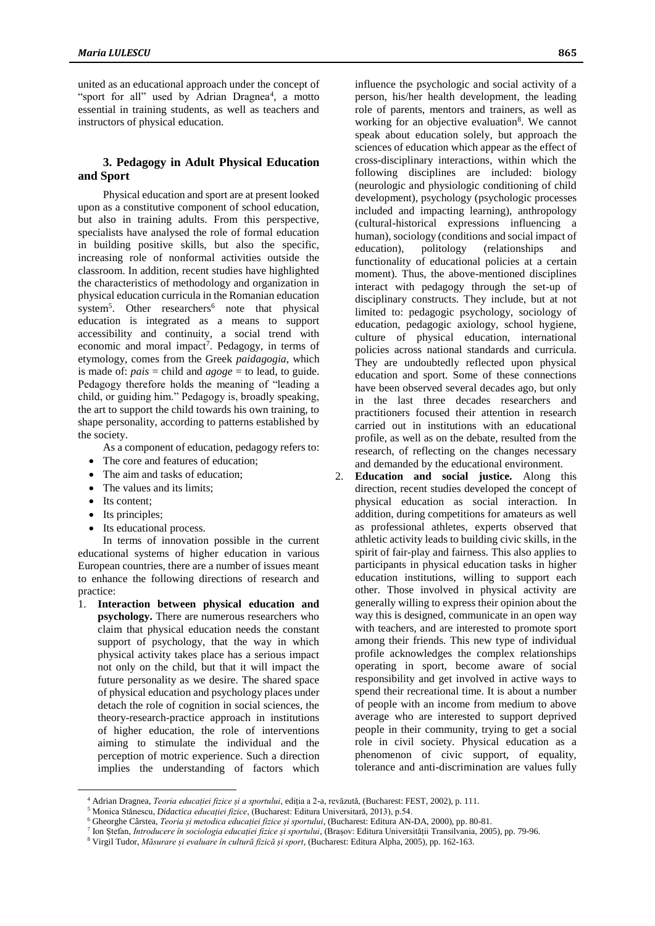united as an educational approach under the concept of "sport for all" used by Adrian Dragnea<sup>4</sup>, a motto essential in training students, as well as teachers and instructors of physical education.

### **3. Pedagogy in Adult Physical Education and Sport**

Physical education and sport are at present looked upon as a constitutive component of school education, but also in training adults. From this perspective, specialists have analysed the role of formal education in building positive skills, but also the specific, increasing role of nonformal activities outside the classroom. In addition, recent studies have highlighted the characteristics of methodology and organization in physical education curricula in the Romanian education system<sup>5</sup>. Other researchers<sup>6</sup> note that physical education is integrated as a means to support accessibility and continuity, a social trend with economic and moral impact<sup>7</sup>. Pedagogy, in terms of etymology, comes from the Greek *paidagogia*, which is made of: *pais* = child and *agoge* = to lead, to guide. Pedagogy therefore holds the meaning of "leading a child, or guiding him." Pedagogy is, broadly speaking, the art to support the child towards his own training, to shape personality, according to patterns established by the society.

As a component of education, pedagogy refers to:

- The core and features of education;
- The aim and tasks of education;
- The values and its limits;
- Its content:

 $\overline{a}$ 

- Its principles;
- Its educational process.

In terms of innovation possible in the current educational systems of higher education in various European countries, there are a number of issues meant to enhance the following directions of research and practice:

1. **Interaction between physical education and psychology.** There are numerous researchers who claim that physical education needs the constant support of psychology, that the way in which physical activity takes place has a serious impact not only on the child, but that it will impact the future personality as we desire. The shared space of physical education and psychology places under detach the role of cognition in social sciences, the theory-research-practice approach in institutions of higher education, the role of interventions aiming to stimulate the individual and the perception of motric experience. Such a direction implies the understanding of factors which influence the psychologic and social activity of a person, his/her health development, the leading role of parents, mentors and trainers, as well as working for an objective evaluation<sup>8</sup>. We cannot speak about education solely, but approach the sciences of education which appear as the effect of cross-disciplinary interactions, within which the following disciplines are included: biology (neurologic and physiologic conditioning of child development), psychology (psychologic processes included and impacting learning), anthropology (cultural-historical expressions influencing a human), sociology (conditions and social impact of education), politology (relationships and functionality of educational policies at a certain moment). Thus, the above-mentioned disciplines interact with pedagogy through the set-up of disciplinary constructs. They include, but at not limited to: pedagogic psychology, sociology of education, pedagogic axiology, school hygiene, culture of physical education, international policies across national standards and curricula. They are undoubtedly reflected upon physical education and sport. Some of these connections have been observed several decades ago, but only in the last three decades researchers and practitioners focused their attention in research carried out in institutions with an educational profile, as well as on the debate, resulted from the research, of reflecting on the changes necessary and demanded by the educational environment.

2. **Education and social justice.** Along this direction, recent studies developed the concept of physical education as social interaction. In addition, during competitions for amateurs as well as professional athletes, experts observed that athletic activity leads to building civic skills, in the spirit of fair-play and fairness. This also applies to participants in physical education tasks in higher education institutions, willing to support each other. Those involved in physical activity are generally willing to express their opinion about the way this is designed, communicate in an open way with teachers, and are interested to promote sport among their friends. This new type of individual profile acknowledges the complex relationships operating in sport, become aware of social responsibility and get involved in active ways to spend their recreational time. It is about a number of people with an income from medium to above average who are interested to support deprived people in their community, trying to get a social role in civil society. Physical education as a phenomenon of civic support, of equality, tolerance and anti-discrimination are values fully

7 Ion Ștefan, *Introducere în sociologia educației fizice și sportului*, (Brașov: Editura Universității Transilvania, 2005), pp. 79-96.

<sup>4</sup> Adrian Dragnea, *Teoria educației fizice și a sportului*, ediția a 2-a, revăzută, (Bucharest: FEST, 2002), p. 111.

<sup>5</sup> Monica Stănescu, *Didactica educației fizice*, (Bucharest: Editura Universitară, 2013), p.54.

<sup>6</sup> Gheorghe Cârstea, *Teoria și metodica educației fizice și sportului*, (Bucharest: Editura AN-DA, 2000), pp. 80-81.

<sup>8</sup> Virgil Tudor, *Măsurare și evaluare în cultură fizică și sport*, (Bucharest: Editura Alpha, 2005), pp. 162-163.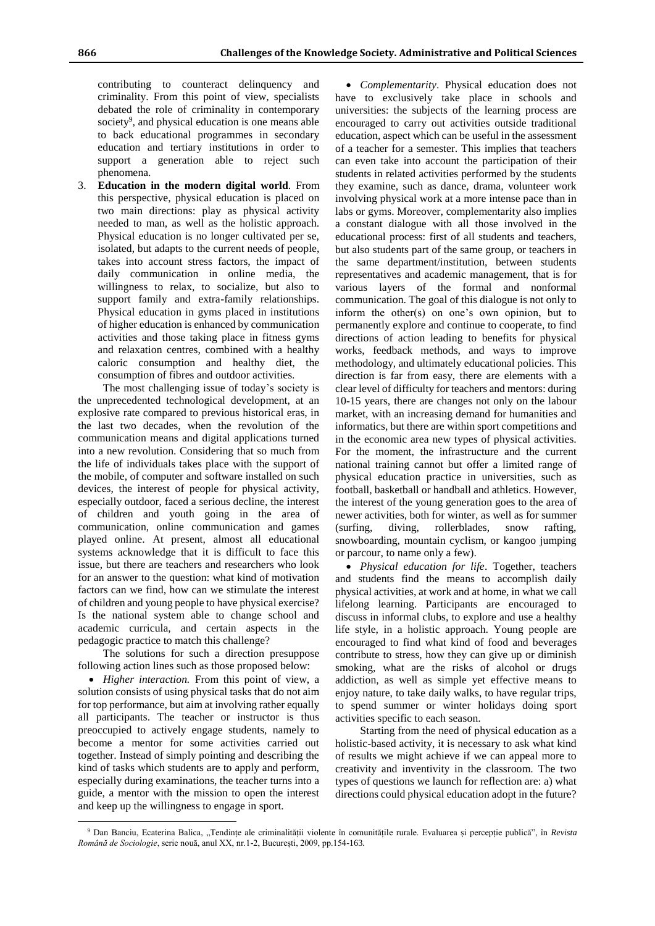contributing to counteract delinquency and criminality. From this point of view, specialists debated the role of criminality in contemporary society<sup>9</sup>, and physical education is one means able to back educational programmes in secondary education and tertiary institutions in order to support a generation able to reject such phenomena.

3. **Education in the modern digital world**. From this perspective, physical education is placed on two main directions: play as physical activity needed to man, as well as the holistic approach. Physical education is no longer cultivated per se, isolated, but adapts to the current needs of people, takes into account stress factors, the impact of daily communication in online media, the willingness to relax, to socialize, but also to support family and extra-family relationships. Physical education in gyms placed in institutions of higher education is enhanced by communication activities and those taking place in fitness gyms and relaxation centres, combined with a healthy caloric consumption and healthy diet, the consumption of fibres and outdoor activities.

The most challenging issue of today's society is the unprecedented technological development, at an explosive rate compared to previous historical eras, in the last two decades, when the revolution of the communication means and digital applications turned into a new revolution. Considering that so much from the life of individuals takes place with the support of the mobile, of computer and software installed on such devices, the interest of people for physical activity, especially outdoor, faced a serious decline, the interest of children and youth going in the area of communication, online communication and games played online. At present, almost all educational systems acknowledge that it is difficult to face this issue, but there are teachers and researchers who look for an answer to the question: what kind of motivation factors can we find, how can we stimulate the interest of children and young people to have physical exercise? Is the national system able to change school and academic curricula, and certain aspects in the pedagogic practice to match this challenge?

The solutions for such a direction presuppose following action lines such as those proposed below:

 *Higher interaction.* From this point of view, a solution consists of using physical tasks that do not aim for top performance, but aim at involving rather equally all participants. The teacher or instructor is thus preoccupied to actively engage students, namely to become a mentor for some activities carried out together. Instead of simply pointing and describing the kind of tasks which students are to apply and perform, especially during examinations, the teacher turns into a guide, a mentor with the mission to open the interest and keep up the willingness to engage in sport.

 $\overline{a}$ 

 *Complementarity*. Physical education does not have to exclusively take place in schools and universities: the subjects of the learning process are encouraged to carry out activities outside traditional education, aspect which can be useful in the assessment of a teacher for a semester. This implies that teachers can even take into account the participation of their students in related activities performed by the students they examine, such as dance, drama, volunteer work involving physical work at a more intense pace than in labs or gyms. Moreover, complementarity also implies a constant dialogue with all those involved in the educational process: first of all students and teachers, but also students part of the same group, or teachers in the same department/institution, between students representatives and academic management, that is for various layers of the formal and nonformal communication. The goal of this dialogue is not only to inform the other(s) on one's own opinion, but to permanently explore and continue to cooperate, to find directions of action leading to benefits for physical works, feedback methods, and ways to improve methodology, and ultimately educational policies. This direction is far from easy, there are elements with a clear level of difficulty for teachers and mentors: during 10-15 years, there are changes not only on the labour market, with an increasing demand for humanities and informatics, but there are within sport competitions and in the economic area new types of physical activities. For the moment, the infrastructure and the current national training cannot but offer a limited range of physical education practice in universities, such as football, basketball or handball and athletics. However, the interest of the young generation goes to the area of newer activities, both for winter, as well as for summer (surfing, diving, rollerblades, snow rafting, snowboarding, mountain cyclism, or kangoo jumping or parcour, to name only a few).

 *Physical education for life*. Together, teachers and students find the means to accomplish daily physical activities, at work and at home, in what we call lifelong learning. Participants are encouraged to discuss in informal clubs, to explore and use a healthy life style, in a holistic approach. Young people are encouraged to find what kind of food and beverages contribute to stress, how they can give up or diminish smoking, what are the risks of alcohol or drugs addiction, as well as simple yet effective means to enjoy nature, to take daily walks, to have regular trips, to spend summer or winter holidays doing sport activities specific to each season.

Starting from the need of physical education as a holistic-based activity, it is necessary to ask what kind of results we might achieve if we can appeal more to creativity and inventivity in the classroom. The two types of questions we launch for reflection are: a) what directions could physical education adopt in the future?

<sup>9</sup> Dan Banciu, Ecaterina Balica, "Tendințe ale criminalității violente în comunitățile rurale. Evaluarea și percepție publică", în *Revista Română de Sociologie*, serie nouă, anul XX, nr.1-2, București, 2009, pp.154-163.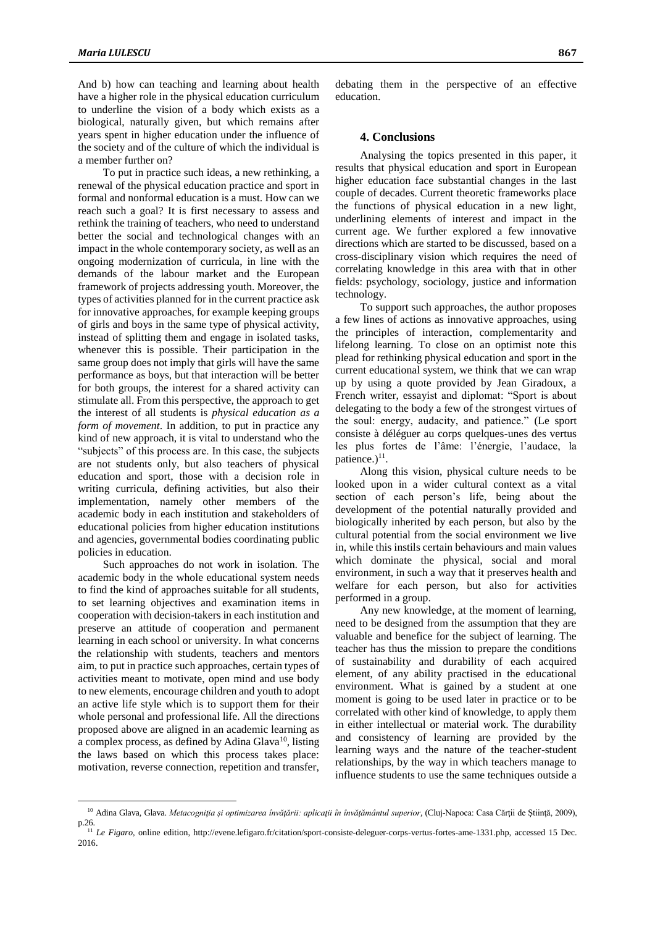And b) how can teaching and learning about health have a higher role in the physical education curriculum to underline the vision of a body which exists as a biological, naturally given, but which remains after years spent in higher education under the influence of the society and of the culture of which the individual is a member further on?

To put in practice such ideas, a new rethinking, a renewal of the physical education practice and sport in formal and nonformal education is a must. How can we reach such a goal? It is first necessary to assess and rethink the training of teachers, who need to understand better the social and technological changes with an impact in the whole contemporary society, as well as an ongoing modernization of curricula, in line with the demands of the labour market and the European framework of projects addressing youth. Moreover, the types of activities planned for in the current practice ask for innovative approaches, for example keeping groups of girls and boys in the same type of physical activity, instead of splitting them and engage in isolated tasks, whenever this is possible. Their participation in the same group does not imply that girls will have the same performance as boys, but that interaction will be better for both groups, the interest for a shared activity can stimulate all. From this perspective, the approach to get the interest of all students is *physical education as a form of movement*. In addition, to put in practice any kind of new approach, it is vital to understand who the "subjects" of this process are. In this case, the subjects are not students only, but also teachers of physical education and sport, those with a decision role in writing curricula, defining activities, but also their implementation, namely other members of the academic body in each institution and stakeholders of educational policies from higher education institutions and agencies, governmental bodies coordinating public policies in education.

Such approaches do not work in isolation. The academic body in the whole educational system needs to find the kind of approaches suitable for all students, to set learning objectives and examination items in cooperation with decision-takers in each institution and preserve an attitude of cooperation and permanent learning in each school or university. In what concerns the relationship with students, teachers and mentors aim, to put in practice such approaches, certain types of activities meant to motivate, open mind and use body to new elements, encourage children and youth to adopt an active life style which is to support them for their whole personal and professional life. All the directions proposed above are aligned in an academic learning as a complex process, as defined by Adina Glava<sup>10</sup>, listing the laws based on which this process takes place: motivation, reverse connection, repetition and transfer,

 $\overline{a}$ 

### **4. Conclusions**

Analysing the topics presented in this paper, it results that physical education and sport in European higher education face substantial changes in the last couple of decades. Current theoretic frameworks place the functions of physical education in a new light, underlining elements of interest and impact in the current age. We further explored a few innovative directions which are started to be discussed, based on a cross-disciplinary vision which requires the need of correlating knowledge in this area with that in other fields: psychology, sociology, justice and information technology.

To support such approaches, the author proposes a few lines of actions as innovative approaches, using the principles of interaction, complementarity and lifelong learning. To close on an optimist note this plead for rethinking physical education and sport in the current educational system, we think that we can wrap up by using a quote provided by Jean Giradoux, a French writer, essayist and diplomat: "Sport is about delegating to the body a few of the strongest virtues of the soul: energy, audacity, and patience." (Le sport consiste à déléguer au corps quelques-unes des vertus les plus fortes de l'âme: l'énergie, l'audace, la patience.)<sup>11</sup>.

Along this vision, physical culture needs to be looked upon in a wider cultural context as a vital section of each person's life, being about the development of the potential naturally provided and biologically inherited by each person, but also by the cultural potential from the social environment we live in, while this instils certain behaviours and main values which dominate the physical, social and moral environment, in such a way that it preserves health and welfare for each person, but also for activities performed in a group.

Any new knowledge, at the moment of learning, need to be designed from the assumption that they are valuable and benefice for the subject of learning. The teacher has thus the mission to prepare the conditions of sustainability and durability of each acquired element, of any ability practised in the educational environment. What is gained by a student at one moment is going to be used later in practice or to be correlated with other kind of knowledge, to apply them in either intellectual or material work. The durability and consistency of learning are provided by the learning ways and the nature of the teacher-student relationships, by the way in which teachers manage to influence students to use the same techniques outside a

<sup>&</sup>lt;sup>10</sup> Adina Glava, Glava. Metacogniția și optimizarea învățării: aplicații în învățământul superior, (Cluj-Napoca: Casa Cărții de Știință, 2009), p.26.

<sup>11</sup> *Le Figaro*, online edition, http://evene.lefigaro.fr/citation/sport-consiste-deleguer-corps-vertus-fortes-ame-1331.php, accessed 15 Dec. 2016.